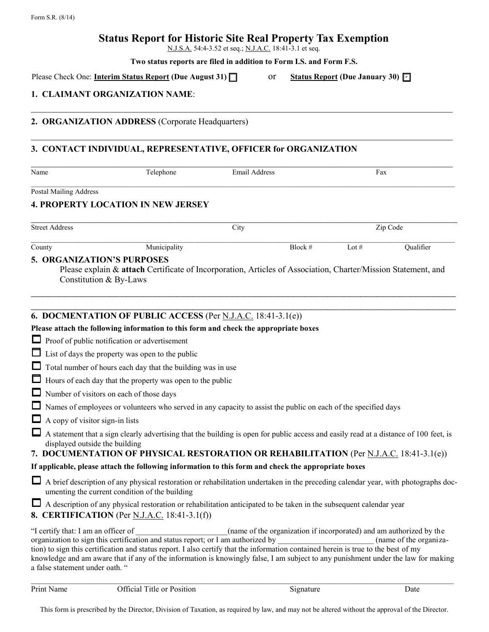# **Status Report for Historic Site Real Property Tax Exemption**

N.J.S.A. 54:4-3.52 et seq.; N.J.A.C. 18:41-3.1 et seq.

 $\_$  , and the contribution of the contribution of the contribution of the contribution of the contribution of  $\mathcal{L}_\text{max}$ 

 $\_$  , and the contribution of the contribution of the contribution of the contribution of the contribution of  $\mathcal{L}_\text{max}$ 

**Two status reports are filed in addition to Form I.S. and Form F.S.**

Please Check One: **Interim Status Report (Due August 31) Subset of Status Report (Due August 31) Subset of State** 

Status Report (Due January 30)  $\Box$ 

## **1. CLAIMANT ORGANIZATION NAME**:

#### **2. ORGANIZATION ADDRESS** (Corporate Headquarters)

## **3. CONTACT INDIVIDUAL, REPRESENTATIVE, OFFICER for ORGANIZATION**

| Name                          | Telephone                                                           | <b>Email Address</b>                                                                                           |         | Fax       |
|-------------------------------|---------------------------------------------------------------------|----------------------------------------------------------------------------------------------------------------|---------|-----------|
| <b>Postal Mailing Address</b> |                                                                     |                                                                                                                |         |           |
|                               | <b>4. PROPERTY LOCATION IN NEW JERSEY</b>                           |                                                                                                                |         |           |
| <b>Street Address</b>         |                                                                     | City                                                                                                           |         | Zip Code  |
| County                        | Municipality                                                        | Block $#$                                                                                                      | Lot $#$ | Qualifier |
|                               | <b>6. DOCMENTATION OF PUBLIC ACCESS (Per N.J.A.C. 18:41-3.1(e))</b> |                                                                                                                |         |           |
|                               |                                                                     | Please attach the following information to this form and check the appropriate boxes                           |         |           |
|                               | Proof of public notification or advertisement                       |                                                                                                                |         |           |
|                               | List of days the property was open to the public                    |                                                                                                                |         |           |
|                               | Total number of hours each day that the building was in use         |                                                                                                                |         |           |
|                               | Hours of each day that the property was open to the public          |                                                                                                                |         |           |
|                               | Number of visitors on each of those days                            |                                                                                                                |         |           |
|                               |                                                                     | Names of employees or volunteers who served in any capacity to assist the public on each of the specified days |         |           |

- $\Box$  A copy of visitor sign-in lists
- $\Box$  A statement that a sign clearly advertising that the building is open for public access and easily read at a distance of 100 feet, is displayed outside the building

**7. DOCUMENTATION OF PHYSICAL RESTORATION OR REHABILITATION** (Per N.J.A.C. 18:41-3.1(e))

### **If applicable, please attach the following information to this form and check the appropriate boxes**

 A brief description of any physical restoration or rehabilitation undertaken in the preceding calendar year, with photographs documenting the current condition of the building

| A description of any physical restoration or rehabilitation anticipated to be taken in the subsequent calendar year |
|---------------------------------------------------------------------------------------------------------------------|
| <b>8. CERTIFICATION</b> (Per <u>N.J.A.C.</u> 18:41-3.1(f))                                                          |

| "I certify that: I am an officer of                                                                                                | (name of the organization if incorporated) and am authorized by the |                        |  |  |
|------------------------------------------------------------------------------------------------------------------------------------|---------------------------------------------------------------------|------------------------|--|--|
| organization to sign this certification and status report; or I am authorized by                                                   |                                                                     | (name of the organiza- |  |  |
| tion) to sign this certification and status report. I also certify that the information contained herein is true to the best of my |                                                                     |                        |  |  |
| knowledge and am aware that if any of the information is knowingly false. I am subject to any punishment under the law for making  |                                                                     |                        |  |  |
| a false statement under oath. "                                                                                                    |                                                                     |                        |  |  |

 $\_$  , and the state of the state of the state of the state of the state of the state of the state of the state of the state of the state of the state of the state of the state of the state of the state of the state of the

This form is prescribed by the Director, Division of Taxation, as required by law, and may not be altered without the approval of the Director.